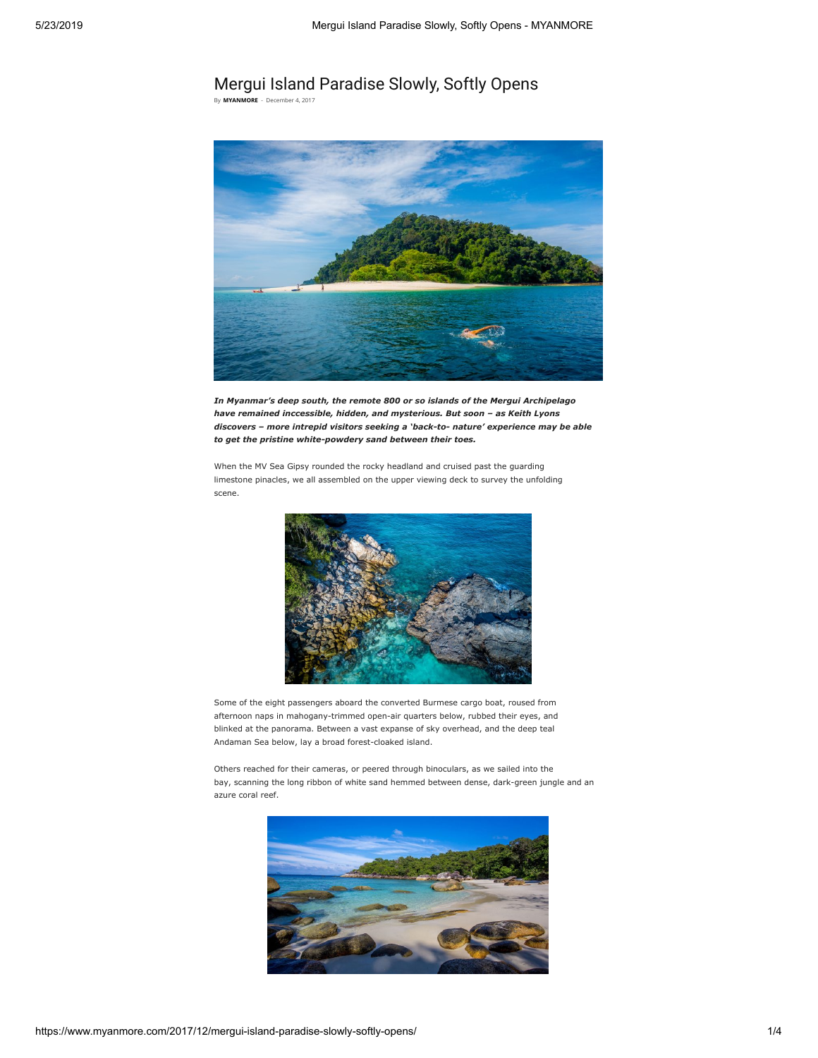## Mergui Island Paradise Slowly, Softly Opens

By [MYANMORE](https://www.myanmore.com/author/myanmore/) - December 4, 2017



In Myanmar's deep south, the remote 800 or so islands of the Mergui Archipelago have remained inccessible, hidden, and mysterious. But soon – as Keith Lyons discovers – more intrepid visitors seeking a 'back-to- nature' experience may be able to get the pristine white-powdery sand between their toes.

When the MV Sea Gipsy rounded the rocky headland and cruised past the guarding limestone pinacles, we all assembled on the upper viewing deck to survey the unfolding scene.



Some of the eight passengers aboard the converted Burmese cargo boat, roused from afternoon naps in mahogany-trimmed open-air quarters below, rubbed their eyes, and blinked at the panorama. Between a vast expanse of sky overhead, and the deep teal Andaman Sea below, lay a broad forest-cloaked island.

Others reached for their cameras, or peered through binoculars, as we sailed into the bay, scanning the long ribbon of white sand hemmed between dense, dark-green jungle and an azure coral reef.

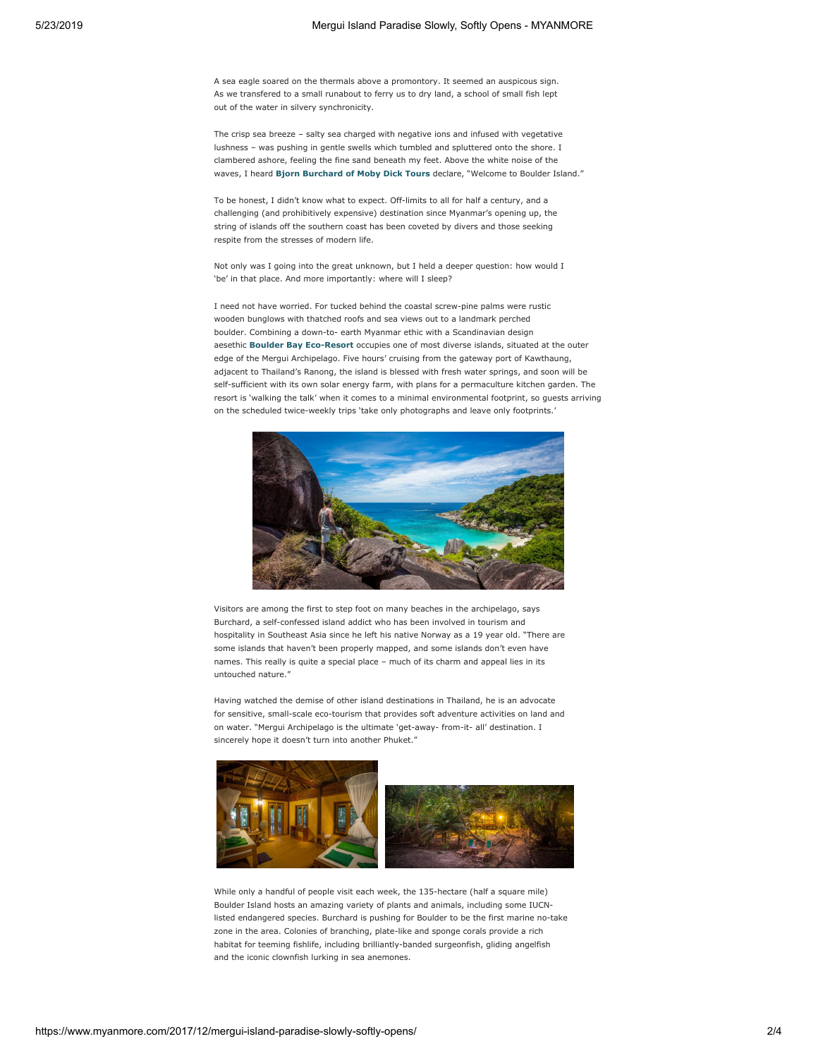A sea eagle soared on the thermals above a promontory. It seemed an auspicous sign. As we transfered to a small runabout to ferry us to dry land, a school of small fish lept out of the water in silvery synchronicity.

The crisp sea breeze – salty sea charged with negative ions and infused with vegetative lushness – was pushing in gentle swells which tumbled and spluttered onto the shore. I clambered ashore, feeling the fine sand beneath my feet. Above the white noise of the waves, I heard [Bjorn Burchard of Moby Dick Tours](http://islandsafarimergui.com/) declare, "Welcome to Boulder Island."

To be honest, I didn't know what to expect. Off-limits to all for half a century, and a challenging (and prohibitively expensive) destination since Myanmar's opening up, the string of islands off the southern coast has been coveted by divers and those seeking respite from the stresses of modern life.

Not only was I going into the great unknown, but I held a deeper question: how would I 'be' in that place. And more importantly: where will I sleep?

I need not have worried. For tucked behind the coastal screw-pine palms were rustic wooden bunglows with thatched roofs and sea views out to a landmark perched boulder. Combining a down-to- earth Myanmar ethic with a Scandinavian design aesethic [Boulder Bay Eco-Resort](http://boulderasia.com/) occupies one of most diverse islands, situated at the outer edge of the Mergui Archipelago. Five hours' cruising from the gateway port of Kawthaung, adjacent to Thailand's Ranong, the island is blessed with fresh water springs, and soon will be self-sufficient with its own solar energy farm, with plans for a permaculture kitchen garden. The resort is 'walking the talk' when it comes to a minimal environmental footprint, so guests arriving on the scheduled twice-weekly trips 'take only photographs and leave only footprints.'



Visitors are among the first to step foot on many beaches in the archipelago, says Burchard, a self-confessed island addict who has been involved in tourism and hospitality in Southeast Asia since he left his native Norway as a 19 year old. "There are some islands that haven't been properly mapped, and some islands don't even have names. This really is quite a special place – much of its charm and appeal lies in its untouched nature."

Having watched the demise of other island destinations in Thailand, he is an advocate for sensitive, small-scale eco-tourism that provides soft adventure activities on land and on water. "Mergui Archipelago is the ultimate 'get-away- from-it- all' destination. I sincerely hope it doesn't turn into another Phuket."



While only a handful of people visit each week, the 135-hectare (half a square mile) Boulder Island hosts an amazing variety of plants and animals, including some IUCNlisted endangered species. Burchard is pushing for Boulder to be the first marine no-take zone in the area. Colonies of branching, plate-like and sponge corals provide a rich habitat for teeming fishlife, including brilliantly-banded surgeonfish, gliding angelfish and the iconic clownfish lurking in sea anemones.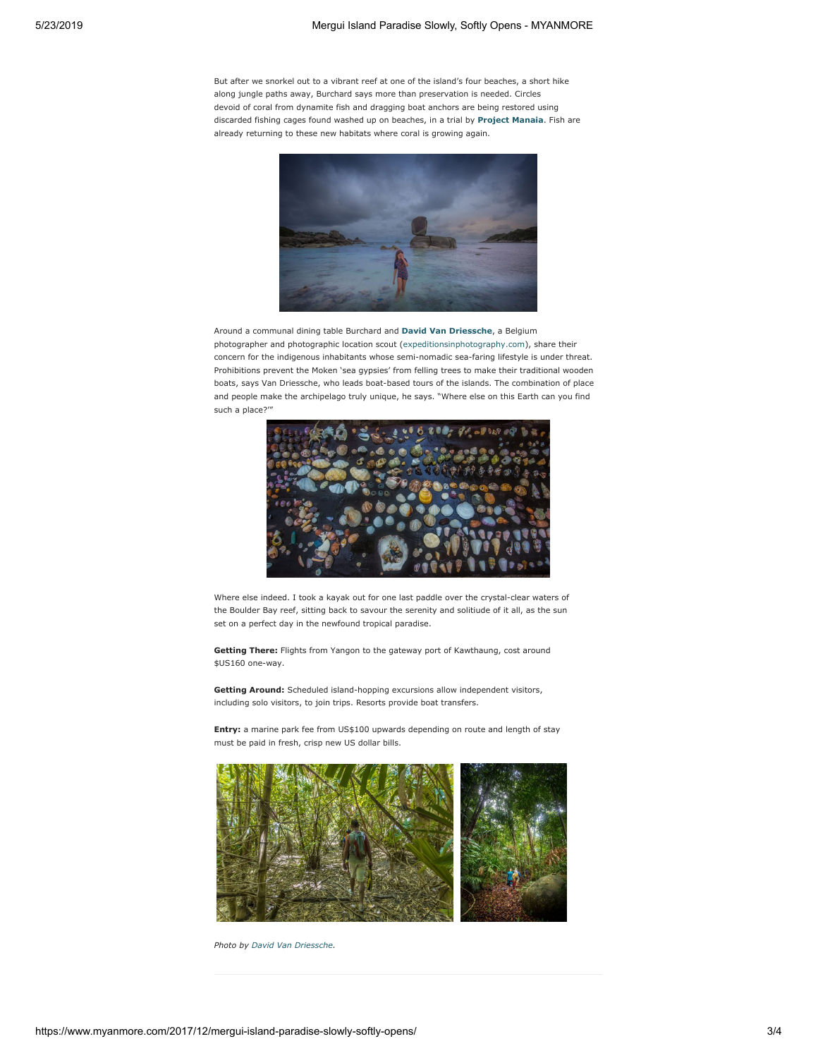But after we snorkel out to a vibrant reef at one of the island's four beaches, a short hike along jungle paths away, Burchard says more than preservation is needed. Circles devoid of coral from dynamite fish and dragging boat anchors are being restored using discarded fishing cages found washed up on beaches, in a trial by **[Project Manaia](http://projectmanaia.at/)**. Fish are already returning to these new habitats where coral is growing again.



Around a communal dining table Burchard and [David Van Driessche](http://davidvandriessche.com/), a Belgium photographer and photographic location scout ([expeditionsinphotography.com\)](http://expeditionsinphotography.com/), share their concern for the indigenous inhabitants whose semi-nomadic sea-faring lifestyle is under threat. Prohibitions prevent the Moken 'sea gypsies' from felling trees to make their traditional wooden boats, says Van Driessche, who leads boat-based tours of the islands. The combination of place and people make the archipelago truly unique, he says. "Where else on this Earth can you find such a place?'"



Where else indeed. I took a kayak out for one last paddle over the crystal-clear waters of the Boulder Bay reef, sitting back to savour the serenity and solitiude of it all, as the sun set on a perfect day in the newfound tropical paradise.

Getting There: Flights from Yangon to the gateway port of Kawthaung, cost around \$US160 one-way.

Getting Around: Scheduled island-hopping excursions allow independent visitors, including solo visitors, to join trips. Resorts provide boat transfers.

Entry: a marine park fee from US\$100 upwards depending on route and length of stay must be paid in fresh, crisp new US dollar bills.



Photo by [David Van Driessche](http://www.davidvandriessche.com/).